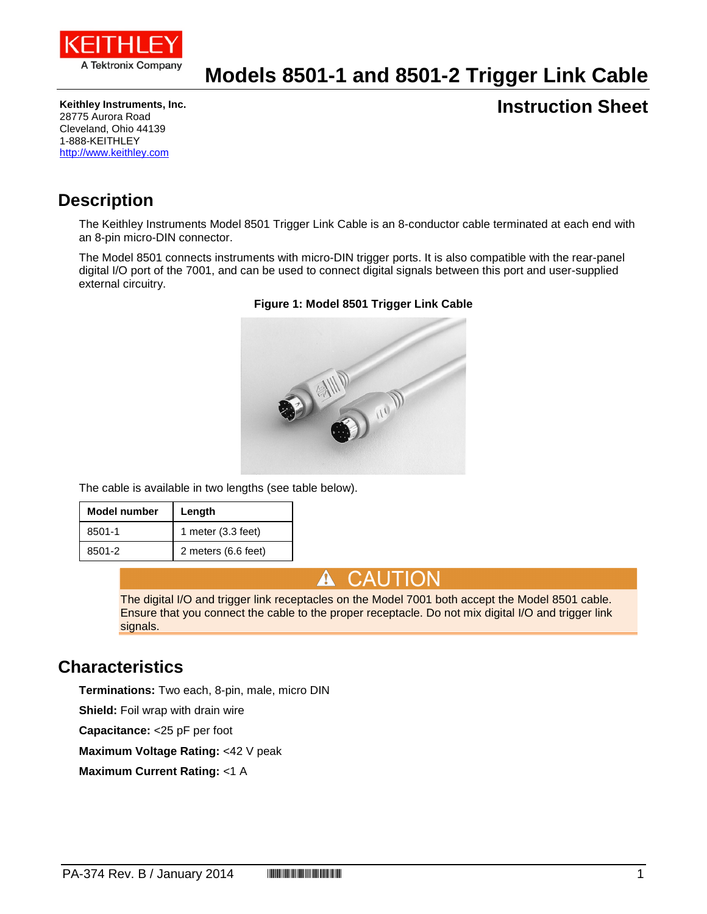

## **Models 8501-1 and 8501-2 Trigger Link Cable**

**Keithley Instruments, Inc.** 28775 Aurora Road Cleveland, Ohio 44139 1-888-KEITHLEY [http://www.keithley.com](http://www.keithley.com/)

## **Instruction Sheet**

### **Description**

The Keithley Instruments Model 8501 Trigger Link Cable is an 8-conductor cable terminated at each end with an 8-pin micro-DIN connector.

The Model 8501 connects instruments with micro-DIN trigger ports. It is also compatible with the rear-panel digital I/O port of the 7001, and can be used to connect digital signals between this port and user-supplied external circuitry.

#### **Figure 1: Model 8501 Trigger Link Cable**



The cable is available in two lengths (see table below).

| <b>Model number</b> | Length                       |
|---------------------|------------------------------|
| 8501-1              | 1 meter $(3.3 \text{ feet})$ |
| 8501-2              | 2 meters (6.6 feet)          |



The digital I/O and trigger link receptacles on the Model 7001 both accept the Model 8501 cable. Ensure that you connect the cable to the proper receptacle. Do not mix digital I/O and trigger link signals.

### **Characteristics**

**Terminations:** Two each, 8-pin, male, micro DIN

**Shield:** Foil wrap with drain wire

**Capacitance:** <25 pF per foot

**Maximum Voltage Rating:** <42 V peak

**Maximum Current Rating:** <1 A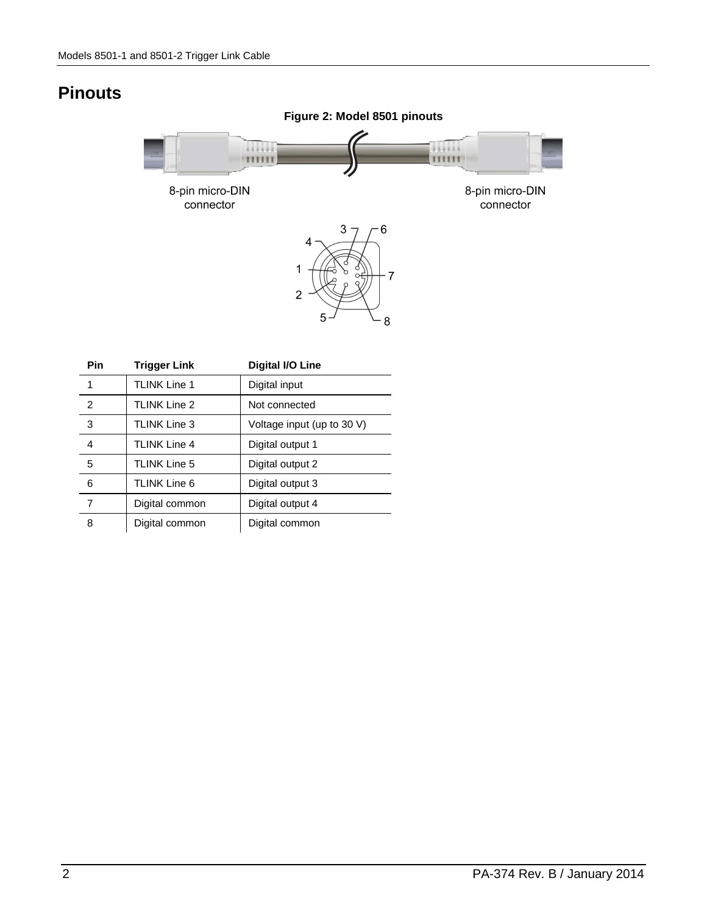## **Pinouts**



| <b>Pin</b>     | <b>Trigger Link</b> | Digital I/O Line           |
|----------------|---------------------|----------------------------|
| 1              | <b>TLINK Line 1</b> | Digital input              |
| $\mathfrak{p}$ | <b>TLINK Line 2</b> | Not connected              |
| 3              | <b>TLINK Line 3</b> | Voltage input (up to 30 V) |
| 4              | <b>TLINK Line 4</b> | Digital output 1           |
| 5              | <b>TLINK Line 5</b> | Digital output 2           |
| 6              | <b>TLINK Line 6</b> | Digital output 3           |
| $\overline{7}$ | Digital common      | Digital output 4           |
| 8              | Digital common      | Digital common             |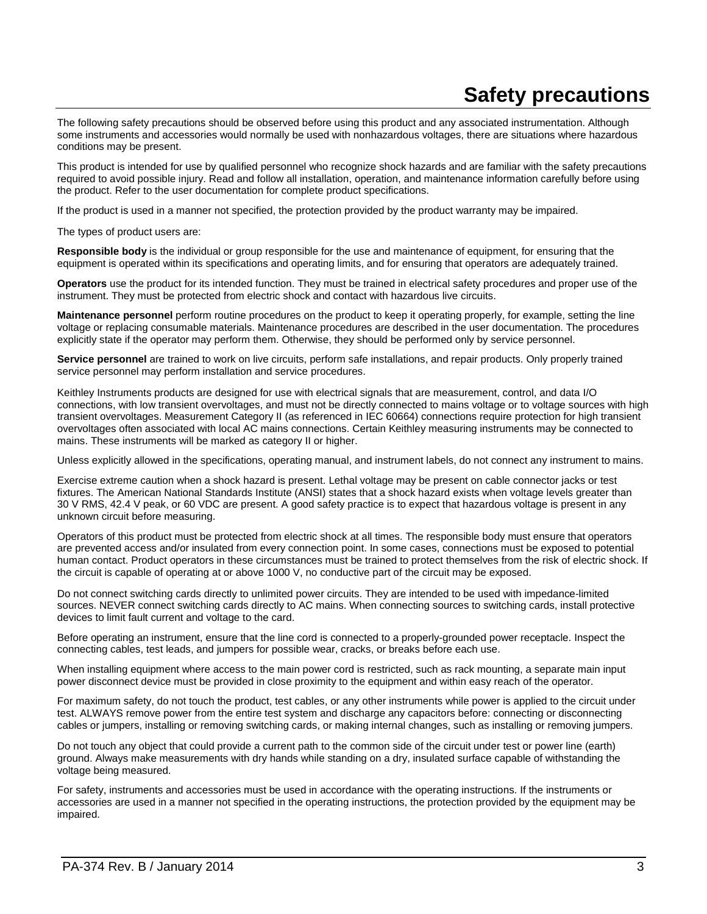# **Safety precautions**

The following safety precautions should be observed before using this product and any associated instrumentation. Although some instruments and accessories would normally be used with nonhazardous voltages, there are situations where hazardous conditions may be present.

This product is intended for use by qualified personnel who recognize shock hazards and are familiar with the safety precautions required to avoid possible injury. Read and follow all installation, operation, and maintenance information carefully before using the product. Refer to the user documentation for complete product specifications.

If the product is used in a manner not specified, the protection provided by the product warranty may be impaired.

The types of product users are:

**Responsible body** is the individual or group responsible for the use and maintenance of equipment, for ensuring that the equipment is operated within its specifications and operating limits, and for ensuring that operators are adequately trained.

**Operators** use the product for its intended function. They must be trained in electrical safety procedures and proper use of the instrument. They must be protected from electric shock and contact with hazardous live circuits.

**Maintenance personnel** perform routine procedures on the product to keep it operating properly, for example, setting the line voltage or replacing consumable materials. Maintenance procedures are described in the user documentation. The procedures explicitly state if the operator may perform them. Otherwise, they should be performed only by service personnel.

**Service personnel** are trained to work on live circuits, perform safe installations, and repair products. Only properly trained service personnel may perform installation and service procedures.

Keithley Instruments products are designed for use with electrical signals that are measurement, control, and data I/O connections, with low transient overvoltages, and must not be directly connected to mains voltage or to voltage sources with high transient overvoltages. Measurement Category II (as referenced in IEC 60664) connections require protection for high transient overvoltages often associated with local AC mains connections. Certain Keithley measuring instruments may be connected to mains. These instruments will be marked as category II or higher.

Unless explicitly allowed in the specifications, operating manual, and instrument labels, do not connect any instrument to mains.

Exercise extreme caution when a shock hazard is present. Lethal voltage may be present on cable connector jacks or test fixtures. The American National Standards Institute (ANSI) states that a shock hazard exists when voltage levels greater than 30 V RMS, 42.4 V peak, or 60 VDC are present. A good safety practice is to expect that hazardous voltage is present in any unknown circuit before measuring.

Operators of this product must be protected from electric shock at all times. The responsible body must ensure that operators are prevented access and/or insulated from every connection point. In some cases, connections must be exposed to potential human contact. Product operators in these circumstances must be trained to protect themselves from the risk of electric shock. If the circuit is capable of operating at or above 1000 V, no conductive part of the circuit may be exposed.

Do not connect switching cards directly to unlimited power circuits. They are intended to be used with impedance-limited sources. NEVER connect switching cards directly to AC mains. When connecting sources to switching cards, install protective devices to limit fault current and voltage to the card.

Before operating an instrument, ensure that the line cord is connected to a properly-grounded power receptacle. Inspect the connecting cables, test leads, and jumpers for possible wear, cracks, or breaks before each use.

When installing equipment where access to the main power cord is restricted, such as rack mounting, a separate main input power disconnect device must be provided in close proximity to the equipment and within easy reach of the operator.

For maximum safety, do not touch the product, test cables, or any other instruments while power is applied to the circuit under test. ALWAYS remove power from the entire test system and discharge any capacitors before: connecting or disconnecting cables or jumpers, installing or removing switching cards, or making internal changes, such as installing or removing jumpers.

Do not touch any object that could provide a current path to the common side of the circuit under test or power line (earth) ground. Always make measurements with dry hands while standing on a dry, insulated surface capable of withstanding the voltage being measured.

For safety, instruments and accessories must be used in accordance with the operating instructions. If the instruments or accessories are used in a manner not specified in the operating instructions, the protection provided by the equipment may be impaired.